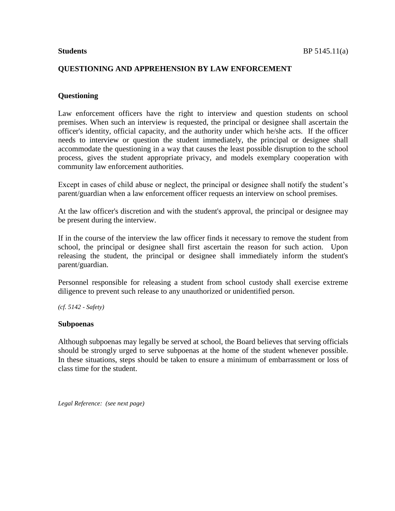## **QUESTIONING AND APPREHENSION BY LAW ENFORCEMENT**

# **Questioning**

Law enforcement officers have the right to interview and question students on school premises. When such an interview is requested, the principal or designee shall ascertain the officer's identity, official capacity, and the authority under which he/she acts. If the officer needs to interview or question the student immediately, the principal or designee shall accommodate the questioning in a way that causes the least possible disruption to the school process, gives the student appropriate privacy, and models exemplary cooperation with community law enforcement authorities.

Except in cases of child abuse or neglect, the principal or designee shall notify the student's parent/guardian when a law enforcement officer requests an interview on school premises.

At the law officer's discretion and with the student's approval, the principal or designee may be present during the interview.

If in the course of the interview the law officer finds it necessary to remove the student from school, the principal or designee shall first ascertain the reason for such action. Upon releasing the student, the principal or designee shall immediately inform the student's parent/guardian.

Personnel responsible for releasing a student from school custody shall exercise extreme diligence to prevent such release to any unauthorized or unidentified person.

*(cf. 5142 - Safety)*

### **Subpoenas**

Although subpoenas may legally be served at school, the Board believes that serving officials should be strongly urged to serve subpoenas at the home of the student whenever possible. In these situations, steps should be taken to ensure a minimum of embarrassment or loss of class time for the student.

*Legal Reference: (see next page)*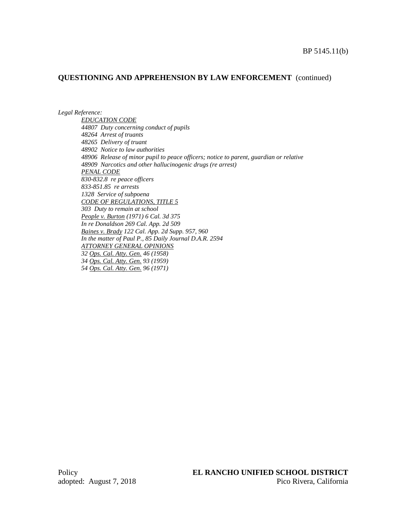## **QUESTIONING AND APPREHENSION BY LAW ENFORCEMENT** (continued)

*Legal Reference:*

*EDUCATION CODE 44807 Duty concerning conduct of pupils 48264 Arrest of truants 48265 Delivery of truant 48902 Notice to law authorities 48906 Release of minor pupil to peace officers; notice to parent, guardian or relative 48909 Narcotics and other hallucinogenic drugs (re arrest) PENAL CODE 830-832.8 re peace officers 833-851.85 re arrests 1328 Service of subpoena CODE OF REGULATIONS, TITLE 5 303 Duty to remain at school People v. Burton (1971) 6 Cal. 3d 375 In re Donaldson 269 Cal. App. 2d 509 Baines v. Brady 122 Cal. App. 2d Supp. 957, 960 In the matter of Paul P., 85 Daily Journal D.A.R. 2594 ATTORNEY GENERAL OPINIONS 32 Ops. Cal. Atty. Gen. 46 (1958) 34 Ops. Cal. Atty. Gen. 93 (1959) 54 Ops. Cal. Atty. Gen. 96 (1971)*